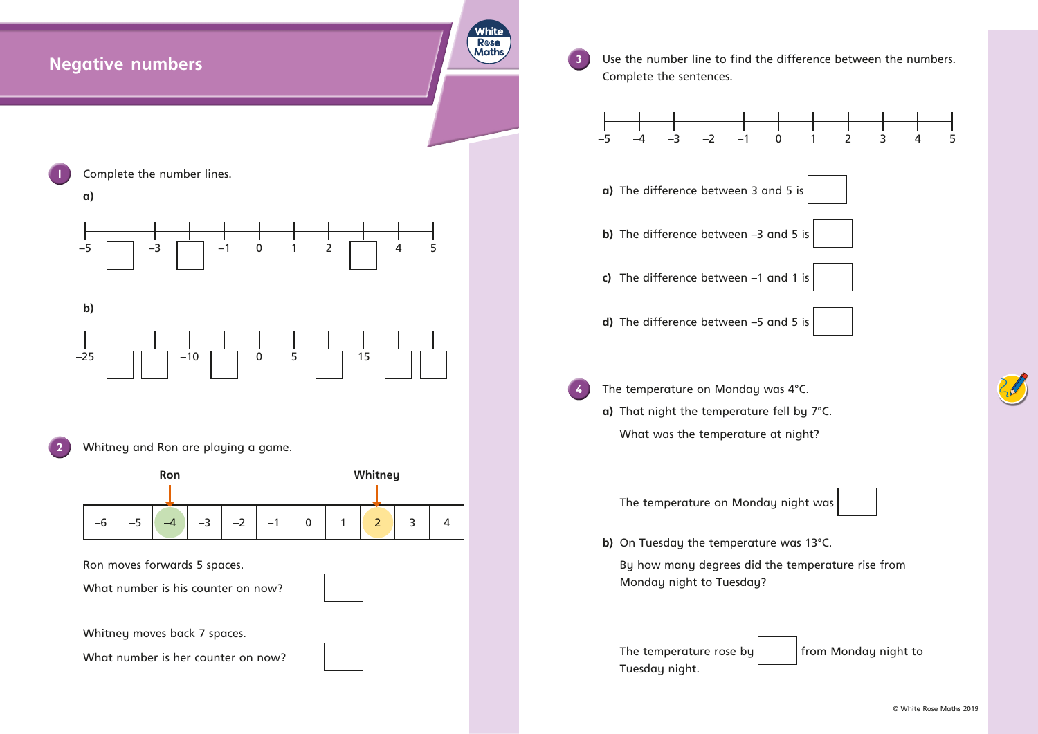## **Negative numbers**

**3** Use the number line to find the difference between the numbers. Complete the sentences.

White **R**ose **Maths** 





- 
- 
- 
- 
- -